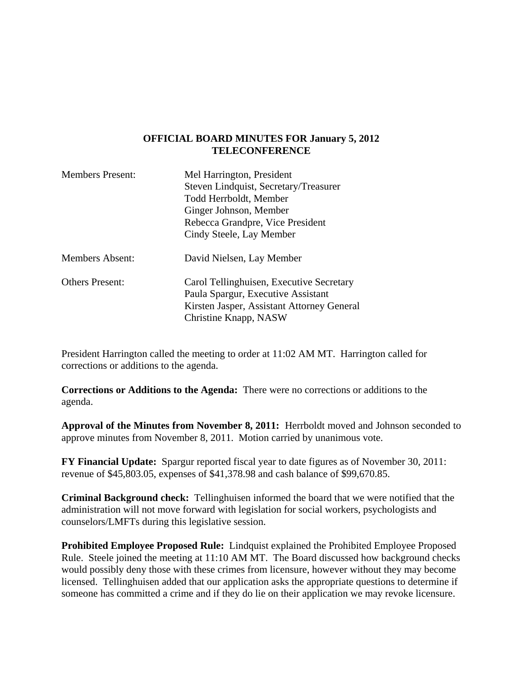#### **OFFICIAL BOARD MINUTES FOR January 5, 2012 TELECONFERENCE**

| <b>Members Present:</b> | Mel Harrington, President<br>Steven Lindquist, Secretary/Treasurer<br>Todd Herrboldt, Member<br>Ginger Johnson, Member<br>Rebecca Grandpre, Vice President<br>Cindy Steele, Lay Member |
|-------------------------|----------------------------------------------------------------------------------------------------------------------------------------------------------------------------------------|
| <b>Members Absent:</b>  | David Nielsen, Lay Member                                                                                                                                                              |
| <b>Others Present:</b>  | Carol Tellinghuisen, Executive Secretary<br>Paula Spargur, Executive Assistant<br>Kirsten Jasper, Assistant Attorney General<br>Christine Knapp, NASW                                  |

President Harrington called the meeting to order at 11:02 AM MT. Harrington called for corrections or additions to the agenda.

**Corrections or Additions to the Agenda:** There were no corrections or additions to the agenda.

**Approval of the Minutes from November 8, 2011:** Herrboldt moved and Johnson seconded to approve minutes from November 8, 2011. Motion carried by unanimous vote.

**FY Financial Update:** Spargur reported fiscal year to date figures as of November 30, 2011: revenue of \$45,803.05, expenses of \$41,378.98 and cash balance of \$99,670.85.

**Criminal Background check:** Tellinghuisen informed the board that we were notified that the administration will not move forward with legislation for social workers, psychologists and counselors/LMFTs during this legislative session.

**Prohibited Employee Proposed Rule:** Lindquist explained the Prohibited Employee Proposed Rule. Steele joined the meeting at 11:10 AM MT. The Board discussed how background checks would possibly deny those with these crimes from licensure, however without they may become licensed. Tellinghuisen added that our application asks the appropriate questions to determine if someone has committed a crime and if they do lie on their application we may revoke licensure.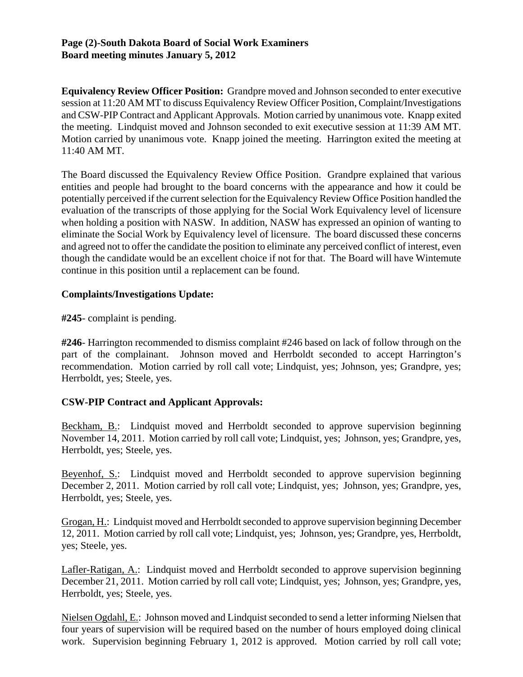#### **Page (2)-South Dakota Board of Social Work Examiners Board meeting minutes January 5, 2012**

**Equivalency Review Officer Position:** Grandpre moved and Johnson seconded to enter executive session at 11:20 AM MT to discuss Equivalency Review Officer Position, Complaint/Investigations and CSW-PIP Contract and Applicant Approvals. Motion carried by unanimous vote. Knapp exited the meeting. Lindquist moved and Johnson seconded to exit executive session at 11:39 AM MT. Motion carried by unanimous vote. Knapp joined the meeting. Harrington exited the meeting at 11:40 AM MT.

The Board discussed the Equivalency Review Office Position. Grandpre explained that various entities and people had brought to the board concerns with the appearance and how it could be potentially perceived if the current selection for the Equivalency Review Office Position handled the evaluation of the transcripts of those applying for the Social Work Equivalency level of licensure when holding a position with NASW. In addition, NASW has expressed an opinion of wanting to eliminate the Social Work by Equivalency level of licensure. The board discussed these concerns and agreed not to offer the candidate the position to eliminate any perceived conflict of interest, even though the candidate would be an excellent choice if not for that. The Board will have Wintemute continue in this position until a replacement can be found.

### **Complaints/Investigations Update:**

**#245**- complaint is pending.

**#246**- Harrington recommended to dismiss complaint #246 based on lack of follow through on the part of the complainant. Johnson moved and Herrboldt seconded to accept Harrington's recommendation. Motion carried by roll call vote; Lindquist, yes; Johnson, yes; Grandpre, yes; Herrboldt, yes; Steele, yes.

# **CSW-PIP Contract and Applicant Approvals:**

Beckham, B.: Lindquist moved and Herrboldt seconded to approve supervision beginning November 14, 2011. Motion carried by roll call vote; Lindquist, yes; Johnson, yes; Grandpre, yes, Herrboldt, yes; Steele, yes.

Beyenhof, S.: Lindquist moved and Herrboldt seconded to approve supervision beginning December 2, 2011. Motion carried by roll call vote; Lindquist, yes; Johnson, yes; Grandpre, yes, Herrboldt, yes; Steele, yes.

Grogan, H.: Lindquist moved and Herrboldt seconded to approve supervision beginning December 12, 2011. Motion carried by roll call vote; Lindquist, yes; Johnson, yes; Grandpre, yes, Herrboldt, yes; Steele, yes.

Lafler-Ratigan, A.: Lindquist moved and Herrboldt seconded to approve supervision beginning December 21, 2011. Motion carried by roll call vote; Lindquist, yes; Johnson, yes; Grandpre, yes, Herrboldt, yes; Steele, yes.

Nielsen Ogdahl, E.: Johnson moved and Lindquist seconded to send a letter informing Nielsen that four years of supervision will be required based on the number of hours employed doing clinical work. Supervision beginning February 1, 2012 is approved. Motion carried by roll call vote;